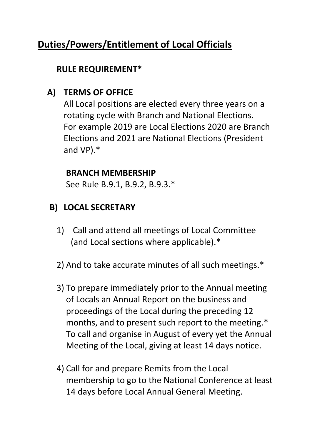# **Duties/Powers/Entitlement of Local Officials**

### **RULE REQUIREMENT\***

### **A) TERMS OF OFFICE**

All Local positions are elected every three years on a rotating cycle with Branch and National Elections. For example 2019 are Local Elections 2020 are Branch Elections and 2021 are National Elections (President and VP).\*

#### **BRANCH MEMBERSHIP**

See Rule B.9.1, B.9.2, B.9.3.\*

## **B) LOCAL SECRETARY**

- 1) Call and attend all meetings of Local Committee (and Local sections where applicable).\*
- 2) And to take accurate minutes of all such meetings.\*
- 3) To prepare immediately prior to the Annual meeting of Locals an Annual Report on the business and proceedings of the Local during the preceding 12 months, and to present such report to the meeting.\* To call and organise in August of every yet the Annual Meeting of the Local, giving at least 14 days notice.
- 4) Call for and prepare Remits from the Local membership to go to the National Conference at least 14 days before Local Annual General Meeting.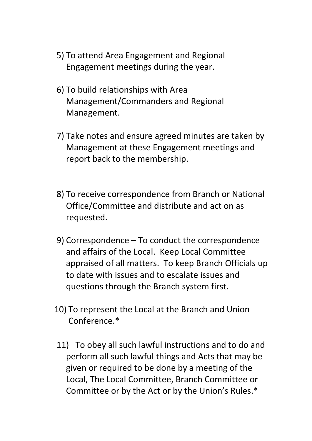- 5) To attend Area Engagement and Regional Engagement meetings during the year.
- 6) To build relationships with Area Management/Commanders and Regional Management.
- 7) Take notes and ensure agreed minutes are taken by Management at these Engagement meetings and report back to the membership.
- 8) To receive correspondence from Branch or National Office/Committee and distribute and act on as requested.
- 9) Correspondence To conduct the correspondence and affairs of the Local. Keep Local Committee appraised of all matters. To keep Branch Officials up to date with issues and to escalate issues and questions through the Branch system first.
- 10) To represent the Local at the Branch and Union Conference.\*
- 11) To obey all such lawful instructions and to do and perform all such lawful things and Acts that may be given or required to be done by a meeting of the Local, The Local Committee, Branch Committee or Committee or by the Act or by the Union's Rules.\*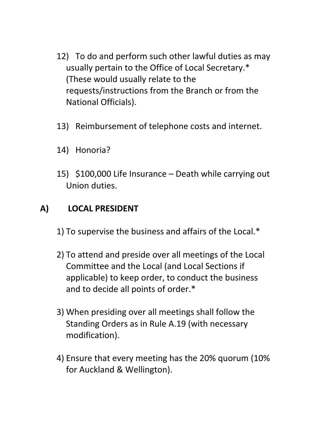- 12) To do and perform such other lawful duties as may usually pertain to the Office of Local Secretary.\* (These would usually relate to the requests/instructions from the Branch or from the National Officials).
- 13) Reimbursement of telephone costs and internet.
- 14) Honoria?
- 15) \$100,000 Life Insurance Death while carrying out Union duties.

#### **A) LOCAL PRESIDENT**

- 1) To supervise the business and affairs of the Local.\*
- 2) To attend and preside over all meetings of the Local Committee and the Local (and Local Sections if applicable) to keep order, to conduct the business and to decide all points of order.\*
- 3) When presiding over all meetings shall follow the Standing Orders as in Rule A.19 (with necessary modification).
- 4) Ensure that every meeting has the 20% quorum (10% for Auckland & Wellington).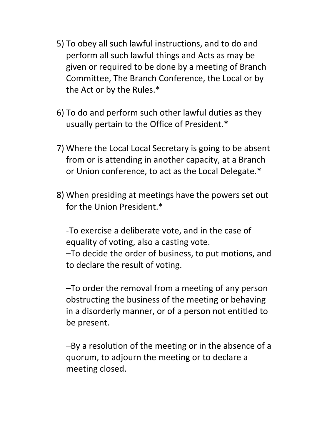- 5) To obey all such lawful instructions, and to do and perform all such lawful things and Acts as may be given or required to be done by a meeting of Branch Committee, The Branch Conference, the Local or by the Act or by the Rules.\*
- 6) To do and perform such other lawful duties as they usually pertain to the Office of President.\*
- 7) Where the Local Local Secretary is going to be absent from or is attending in another capacity, at a Branch or Union conference, to act as the Local Delegate.\*
- 8) When presiding at meetings have the powers set out for the Union President.\*

-To exercise a deliberate vote, and in the case of equality of voting, also a casting vote. –To decide the order of business, to put motions, and to declare the result of voting.

–To order the removal from a meeting of any person obstructing the business of the meeting or behaving in a disorderly manner, or of a person not entitled to be present.

–By a resolution of the meeting or in the absence of a quorum, to adjourn the meeting or to declare a meeting closed.